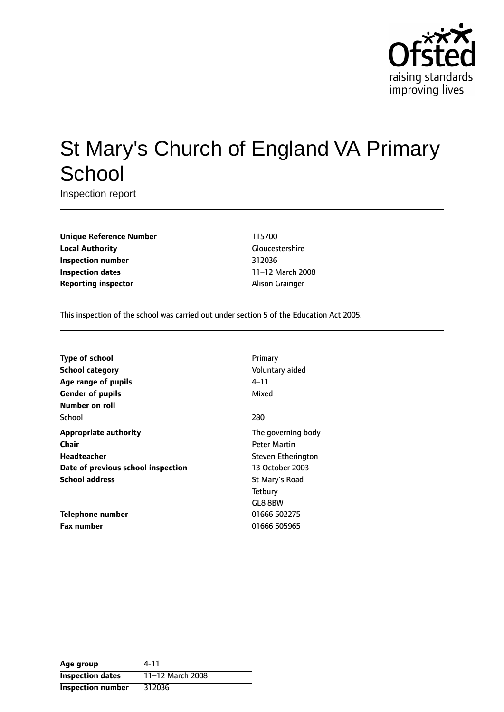

# St Mary's Church of England VA Primary **School**

Inspection report

**Unique Reference Number** 115700 **Local Authority** Gloucestershire **Inspection number** 312036 **Inspection dates** 11-12 March 2008 **Reporting inspector** Alison Grainger

This inspection of the school was carried out under section 5 of the Education Act 2005.

| <b>Type of school</b>              | Primary             |
|------------------------------------|---------------------|
| <b>School category</b>             | Voluntary aided     |
| Age range of pupils                | 4–11                |
| <b>Gender of pupils</b>            | Mixed               |
| Number on roll                     |                     |
| School                             | 280                 |
| <b>Appropriate authority</b>       | The governing body  |
| Chair                              | <b>Peter Martin</b> |
| <b>Headteacher</b>                 | Steven Etherington  |
| Date of previous school inspection | 13 October 2003     |
| <b>School address</b>              | St Mary's Road      |
|                                    | Tetbury             |
|                                    | GL8 8BW             |
| Telephone number                   | 01666 502275        |
| <b>Fax number</b>                  | 01666 505965        |

| Age group                | 4-11             |
|--------------------------|------------------|
| <b>Inspection dates</b>  | 11-12 March 2008 |
| <b>Inspection number</b> | 312036           |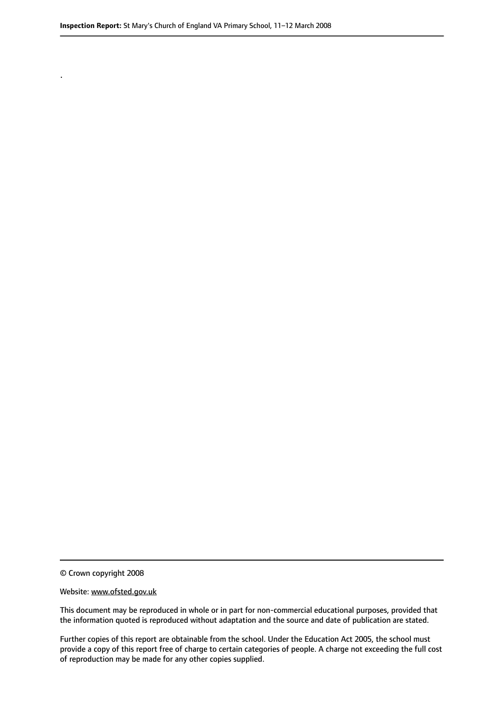© Crown copyright 2008

.

#### Website: www.ofsted.gov.uk

This document may be reproduced in whole or in part for non-commercial educational purposes, provided that the information quoted is reproduced without adaptation and the source and date of publication are stated.

Further copies of this report are obtainable from the school. Under the Education Act 2005, the school must provide a copy of this report free of charge to certain categories of people. A charge not exceeding the full cost of reproduction may be made for any other copies supplied.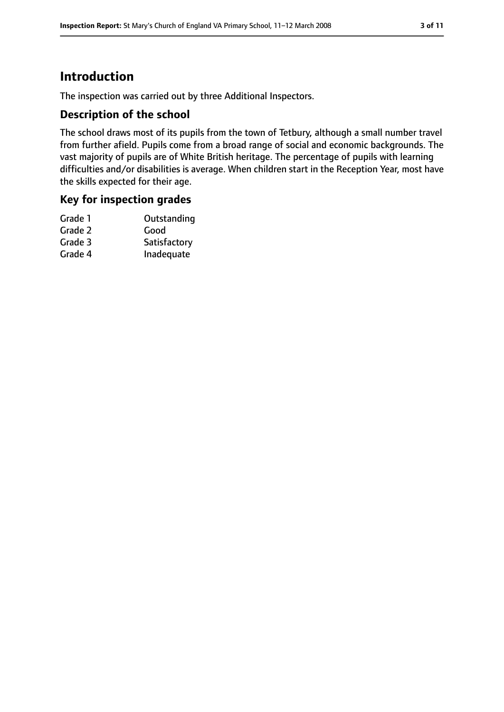# **Introduction**

The inspection was carried out by three Additional Inspectors.

### **Description of the school**

The school draws most of its pupils from the town of Tetbury, although a small number travel from further afield. Pupils come from a broad range of social and economic backgrounds. The vast majority of pupils are of White British heritage. The percentage of pupils with learning difficulties and/or disabilities is average. When children start in the Reception Year, most have the skills expected for their age.

### **Key for inspection grades**

| Grade 1 | Outstanding  |
|---------|--------------|
| Grade 2 | Good         |
| Grade 3 | Satisfactory |
| Grade 4 | Inadequate   |
|         |              |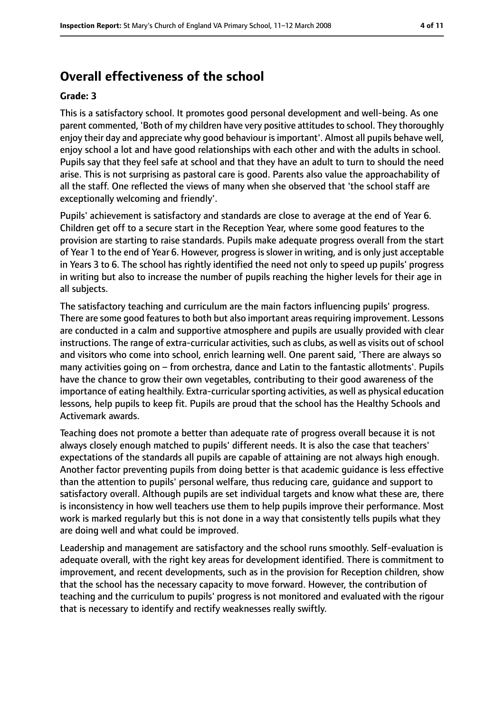# **Overall effectiveness of the school**

#### **Grade: 3**

This is a satisfactory school. It promotes good personal development and well-being. As one parent commented, 'Both of my children have very positive attitudes to school. They thoroughly enjoy their day and appreciate why good behaviour is important'. Almost all pupils behave well, enjoy school a lot and have good relationships with each other and with the adults in school. Pupils say that they feel safe at school and that they have an adult to turn to should the need arise. This is not surprising as pastoral care is good. Parents also value the approachability of all the staff. One reflected the views of many when she observed that 'the school staff are exceptionally welcoming and friendly'.

Pupils' achievement is satisfactory and standards are close to average at the end of Year 6. Children get off to a secure start in the Reception Year, where some good features to the provision are starting to raise standards. Pupils make adequate progress overall from the start of Year 1 to the end of Year 6. However, progress is slower in writing, and is only just acceptable in Years 3 to 6. The school has rightly identified the need not only to speed up pupils' progress in writing but also to increase the number of pupils reaching the higher levels for their age in all subjects.

The satisfactory teaching and curriculum are the main factors influencing pupils' progress. There are some good features to both but also important areas requiring improvement. Lessons are conducted in a calm and supportive atmosphere and pupils are usually provided with clear instructions. The range of extra-curricular activities, such as clubs, as well as visits out of school and visitors who come into school, enrich learning well. One parent said, 'There are always so many activities going on – from orchestra, dance and Latin to the fantastic allotments'. Pupils have the chance to grow their own vegetables, contributing to their good awareness of the importance of eating healthily. Extra-curricular sporting activities, as well as physical education lessons, help pupils to keep fit. Pupils are proud that the school has the Healthy Schools and Activemark awards.

Teaching does not promote a better than adequate rate of progress overall because it is not always closely enough matched to pupils' different needs. It is also the case that teachers' expectations of the standards all pupils are capable of attaining are not always high enough. Another factor preventing pupils from doing better is that academic guidance is less effective than the attention to pupils' personal welfare, thus reducing care, guidance and support to satisfactory overall. Although pupils are set individual targets and know what these are, there is inconsistency in how well teachers use them to help pupils improve their performance. Most work is marked regularly but this is not done in a way that consistently tells pupils what they are doing well and what could be improved.

Leadership and management are satisfactory and the school runs smoothly. Self-evaluation is adequate overall, with the right key areas for development identified. There is commitment to improvement, and recent developments, such as in the provision for Reception children, show that the school has the necessary capacity to move forward. However, the contribution of teaching and the curriculum to pupils' progress is not monitored and evaluated with the rigour that is necessary to identify and rectify weaknesses really swiftly.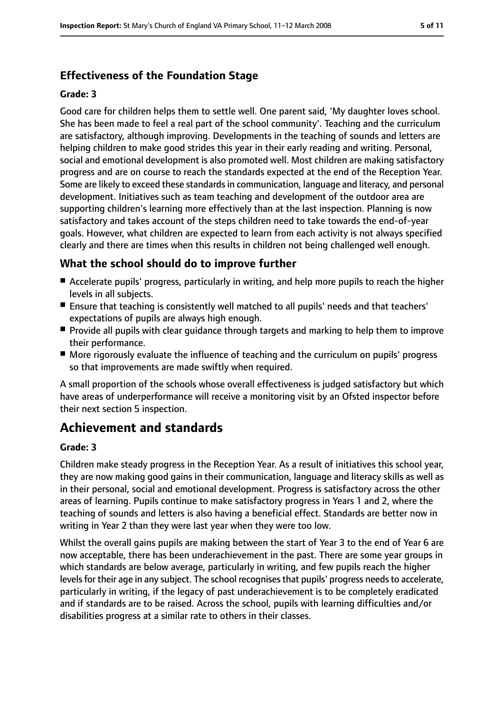# **Effectiveness of the Foundation Stage**

#### **Grade: 3**

Good care for children helps them to settle well. One parent said, 'My daughter loves school. She has been made to feel a real part of the school community'. Teaching and the curriculum are satisfactory, although improving. Developments in the teaching of sounds and letters are helping children to make good strides this year in their early reading and writing. Personal, social and emotional development is also promoted well. Most children are making satisfactory progress and are on course to reach the standards expected at the end of the Reception Year. Some are likely to exceed these standardsin communication, language and literacy, and personal development. Initiatives such as team teaching and development of the outdoor area are supporting children's learning more effectively than at the last inspection. Planning is now satisfactory and takes account of the steps children need to take towards the end-of-year goals. However, what children are expected to learn from each activity is not always specified clearly and there are times when this results in children not being challenged well enough.

### **What the school should do to improve further**

- Accelerate pupils' progress, particularly in writing, and help more pupils to reach the higher levels in all subjects.
- Ensure that teaching is consistently well matched to all pupils' needs and that teachers' expectations of pupils are always high enough.
- Provide all pupils with clear guidance through targets and marking to help them to improve their performance.
- More rigorously evaluate the influence of teaching and the curriculum on pupils' progress so that improvements are made swiftly when required.

A small proportion of the schools whose overall effectiveness is judged satisfactory but which have areas of underperformance will receive a monitoring visit by an Ofsted inspector before their next section 5 inspection.

# **Achievement and standards**

#### **Grade: 3**

Children make steady progress in the Reception Year. As a result of initiatives this school year, they are now making good gains in their communication, language and literacy skills as well as in their personal, social and emotional development. Progress is satisfactory across the other areas of learning. Pupils continue to make satisfactory progress in Years 1 and 2, where the teaching of sounds and letters is also having a beneficial effect. Standards are better now in writing in Year 2 than they were last year when they were too low.

Whilst the overall gains pupils are making between the start of Year 3 to the end of Year 6 are now acceptable, there has been underachievement in the past. There are some year groups in which standards are below average, particularly in writing, and few pupils reach the higher levels for their age in any subject. The school recognises that pupils' progress needs to accelerate, particularly in writing, if the legacy of past underachievement is to be completely eradicated and if standards are to be raised. Across the school, pupils with learning difficulties and/or disabilities progress at a similar rate to others in their classes.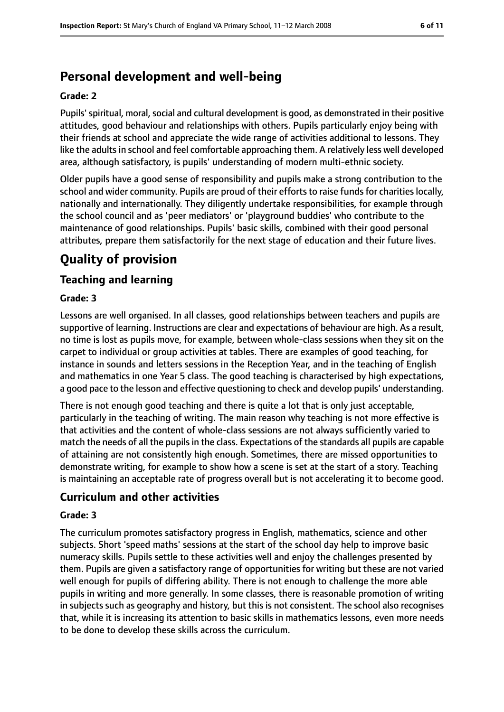# **Personal development and well-being**

#### **Grade: 2**

Pupils' spiritual, moral, social and cultural development is good, as demonstrated in their positive attitudes, good behaviour and relationships with others. Pupils particularly enjoy being with their friends at school and appreciate the wide range of activities additional to lessons. They like the adults in school and feel comfortable approaching them. A relatively less well developed area, although satisfactory, is pupils' understanding of modern multi-ethnic society.

Older pupils have a good sense of responsibility and pupils make a strong contribution to the school and wider community. Pupils are proud of their efforts to raise funds for charities locally, nationally and internationally. They diligently undertake responsibilities, for example through the school council and as 'peer mediators' or 'playground buddies' who contribute to the maintenance of good relationships. Pupils' basic skills, combined with their good personal attributes, prepare them satisfactorily for the next stage of education and their future lives.

# **Quality of provision**

# **Teaching and learning**

#### **Grade: 3**

Lessons are well organised. In all classes, good relationships between teachers and pupils are supportive of learning. Instructions are clear and expectations of behaviour are high. As a result, no time is lost as pupils move, for example, between whole-class sessions when they sit on the carpet to individual or group activities at tables. There are examples of good teaching, for instance in sounds and letters sessions in the Reception Year, and in the teaching of English and mathematics in one Year 5 class. The good teaching is characterised by high expectations, a good pace to the lesson and effective questioning to check and develop pupils' understanding.

There is not enough good teaching and there is quite a lot that is only just acceptable, particularly in the teaching of writing. The main reason why teaching is not more effective is that activities and the content of whole-class sessions are not always sufficiently varied to match the needs of all the pupils in the class. Expectations of the standards all pupils are capable of attaining are not consistently high enough. Sometimes, there are missed opportunities to demonstrate writing, for example to show how a scene is set at the start of a story. Teaching is maintaining an acceptable rate of progress overall but is not accelerating it to become good.

### **Curriculum and other activities**

#### **Grade: 3**

The curriculum promotes satisfactory progress in English, mathematics, science and other subjects. Short 'speed maths' sessions at the start of the school day help to improve basic numeracy skills. Pupils settle to these activities well and enjoy the challenges presented by them. Pupils are given a satisfactory range of opportunities for writing but these are not varied well enough for pupils of differing ability. There is not enough to challenge the more able pupils in writing and more generally. In some classes, there is reasonable promotion of writing in subjects such as geography and history, but this is not consistent. The school also recognises that, while it is increasing its attention to basic skills in mathematics lessons, even more needs to be done to develop these skills across the curriculum.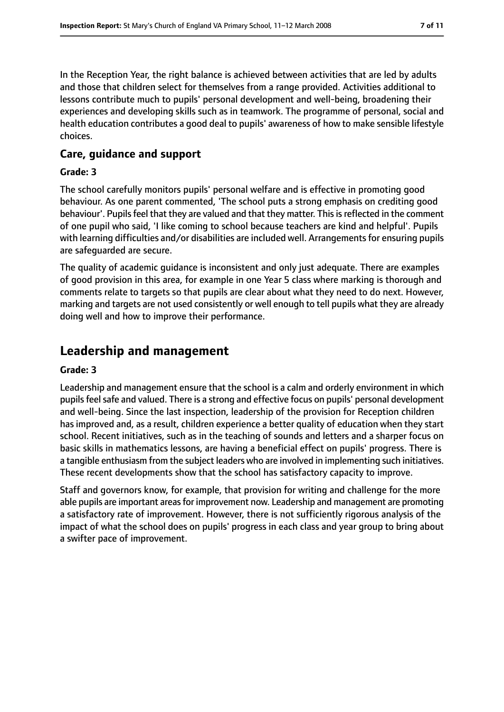In the Reception Year, the right balance is achieved between activities that are led by adults and those that children select for themselves from a range provided. Activities additional to lessons contribute much to pupils' personal development and well-being, broadening their experiences and developing skills such as in teamwork. The programme of personal, social and health education contributes a good deal to pupils' awareness of how to make sensible lifestyle choices.

### **Care, guidance and support**

#### **Grade: 3**

The school carefully monitors pupils' personal welfare and is effective in promoting good behaviour. As one parent commented, 'The school puts a strong emphasis on crediting good behaviour'. Pupils feel that they are valued and that they matter. This is reflected in the comment of one pupil who said, 'I like coming to school because teachers are kind and helpful'. Pupils with learning difficulties and/or disabilities are included well. Arrangements for ensuring pupils are safeguarded are secure.

The quality of academic guidance is inconsistent and only just adequate. There are examples of good provision in this area, for example in one Year 5 class where marking is thorough and comments relate to targets so that pupils are clear about what they need to do next. However, marking and targets are not used consistently or well enough to tell pupils what they are already doing well and how to improve their performance.

# **Leadership and management**

#### **Grade: 3**

Leadership and management ensure that the school is a calm and orderly environment in which pupils feel safe and valued. There is a strong and effective focus on pupils' personal development and well-being. Since the last inspection, leadership of the provision for Reception children has improved and, as a result, children experience a better quality of education when they start school. Recent initiatives, such as in the teaching of sounds and letters and a sharper focus on basic skills in mathematics lessons, are having a beneficial effect on pupils' progress. There is a tangible enthusiasm from the subject leaders who are involved in implementing such initiatives. These recent developments show that the school has satisfactory capacity to improve.

Staff and governors know, for example, that provision for writing and challenge for the more able pupils are important areas for improvement now. Leadership and management are promoting a satisfactory rate of improvement. However, there is not sufficiently rigorous analysis of the impact of what the school does on pupils' progress in each class and year group to bring about a swifter pace of improvement.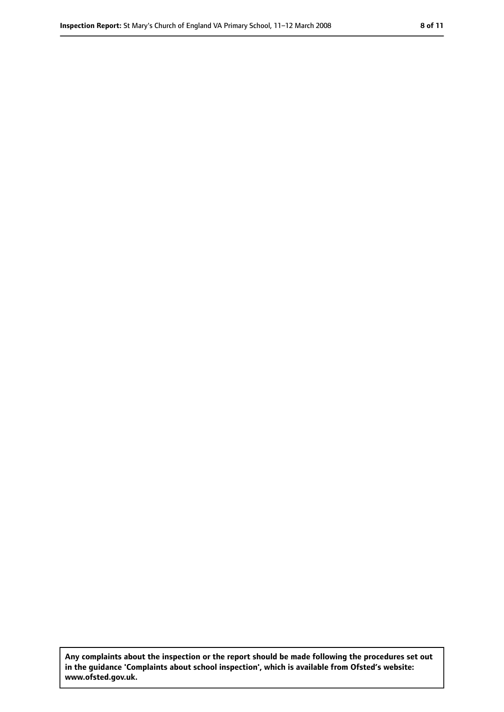**Any complaints about the inspection or the report should be made following the procedures set out in the guidance 'Complaints about school inspection', which is available from Ofsted's website: www.ofsted.gov.uk.**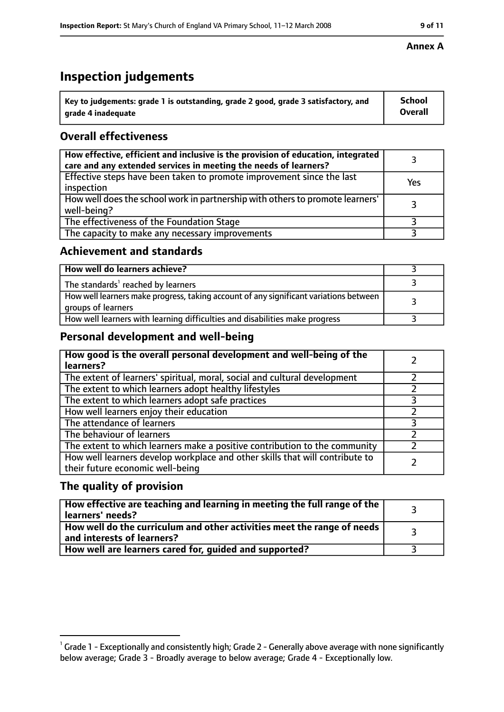# **Inspection judgements**

| $^{\backprime}$ Key to judgements: grade 1 is outstanding, grade 2 good, grade 3 satisfactory, and | <b>School</b>  |
|----------------------------------------------------------------------------------------------------|----------------|
| arade 4 inadeguate                                                                                 | <b>Overall</b> |

# **Overall effectiveness**

| How effective, efficient and inclusive is the provision of education, integrated<br>care and any extended services in meeting the needs of learners? |     |
|------------------------------------------------------------------------------------------------------------------------------------------------------|-----|
| Effective steps have been taken to promote improvement since the last<br>inspection                                                                  | Yes |
| How well does the school work in partnership with others to promote learners'<br>well-being?                                                         |     |
| The effectiveness of the Foundation Stage                                                                                                            |     |
| The capacity to make any necessary improvements                                                                                                      |     |

### **Achievement and standards**

| How well do learners achieve?                                                                               |  |
|-------------------------------------------------------------------------------------------------------------|--|
| The standards <sup>1</sup> reached by learners                                                              |  |
| How well learners make progress, taking account of any significant variations between<br>groups of learners |  |
| How well learners with learning difficulties and disabilities make progress                                 |  |

# **Personal development and well-being**

| How good is the overall personal development and well-being of the<br>learners?                                  |  |
|------------------------------------------------------------------------------------------------------------------|--|
| The extent of learners' spiritual, moral, social and cultural development                                        |  |
| The extent to which learners adopt healthy lifestyles                                                            |  |
| The extent to which learners adopt safe practices                                                                |  |
| How well learners enjoy their education                                                                          |  |
| The attendance of learners                                                                                       |  |
| The behaviour of learners                                                                                        |  |
| The extent to which learners make a positive contribution to the community                                       |  |
| How well learners develop workplace and other skills that will contribute to<br>their future economic well-being |  |

# **The quality of provision**

| How effective are teaching and learning in meeting the full range of the<br>learners' needs?          |  |
|-------------------------------------------------------------------------------------------------------|--|
| How well do the curriculum and other activities meet the range of needs<br>and interests of learners? |  |
| How well are learners cared for, guided and supported?                                                |  |

#### **Annex A**

 $^1$  Grade 1 - Exceptionally and consistently high; Grade 2 - Generally above average with none significantly below average; Grade 3 - Broadly average to below average; Grade 4 - Exceptionally low.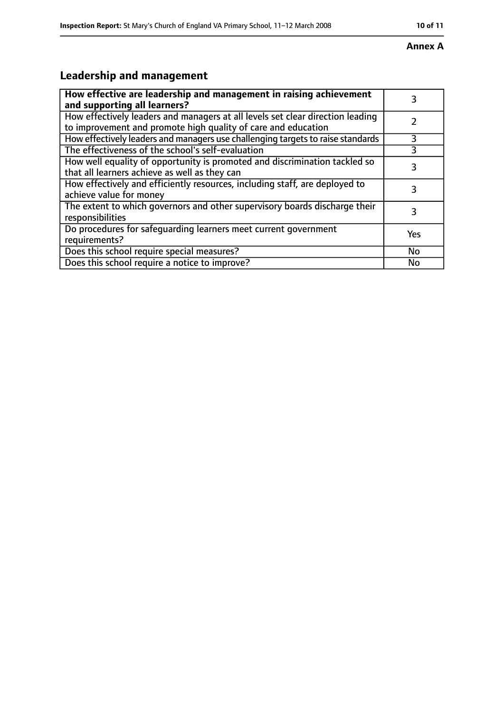#### **Annex A**

# **Leadership and management**

| How effective are leadership and management in raising achievement<br>and supporting all learners?                                              |     |
|-------------------------------------------------------------------------------------------------------------------------------------------------|-----|
| How effectively leaders and managers at all levels set clear direction leading<br>to improvement and promote high quality of care and education |     |
| How effectively leaders and managers use challenging targets to raise standards                                                                 | 3   |
| The effectiveness of the school's self-evaluation                                                                                               | 3   |
| How well equality of opportunity is promoted and discrimination tackled so<br>that all learners achieve as well as they can                     | 3   |
| How effectively and efficiently resources, including staff, are deployed to<br>achieve value for money                                          | 3   |
| The extent to which governors and other supervisory boards discharge their<br>responsibilities                                                  | 3   |
| Do procedures for safequarding learners meet current government<br>requirements?                                                                | Yes |
| Does this school require special measures?                                                                                                      | No  |
| Does this school require a notice to improve?                                                                                                   | No  |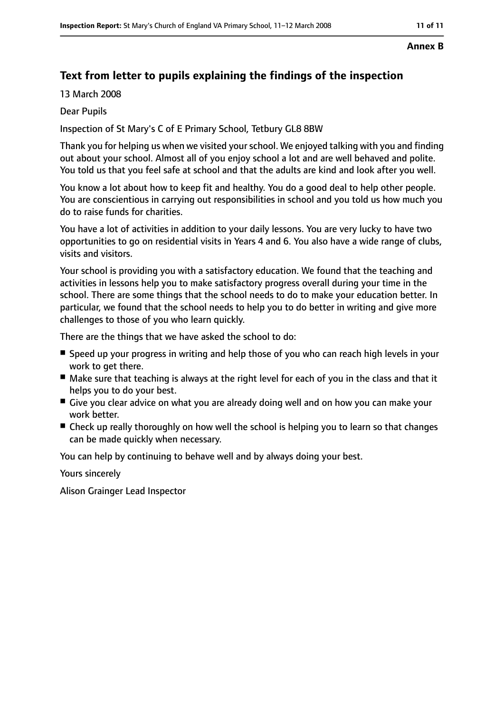#### **Annex B**

# **Text from letter to pupils explaining the findings of the inspection**

13 March 2008

Dear Pupils

Inspection of St Mary's C of E Primary School, Tetbury GL8 8BW

Thank you for helping us when we visited your school. We enjoyed talking with you and finding out about your school. Almost all of you enjoy school a lot and are well behaved and polite. You told us that you feel safe at school and that the adults are kind and look after you well.

You know a lot about how to keep fit and healthy. You do a good deal to help other people. You are conscientious in carrying out responsibilities in school and you told us how much you do to raise funds for charities.

You have a lot of activities in addition to your daily lessons. You are very lucky to have two opportunities to go on residential visits in Years 4 and 6. You also have a wide range of clubs, visits and visitors.

Your school is providing you with a satisfactory education. We found that the teaching and activities in lessons help you to make satisfactory progress overall during your time in the school. There are some things that the school needs to do to make your education better. In particular, we found that the school needs to help you to do better in writing and give more challenges to those of you who learn quickly.

There are the things that we have asked the school to do:

- Speed up your progress in writing and help those of you who can reach high levels in your work to get there.
- Make sure that teaching is always at the right level for each of you in the class and that it helps you to do your best.
- Give you clear advice on what you are already doing well and on how you can make your work better.
- Check up really thoroughly on how well the school is helping you to learn so that changes can be made quickly when necessary.

You can help by continuing to behave well and by always doing your best.

Yours sincerely

Alison Grainger Lead Inspector